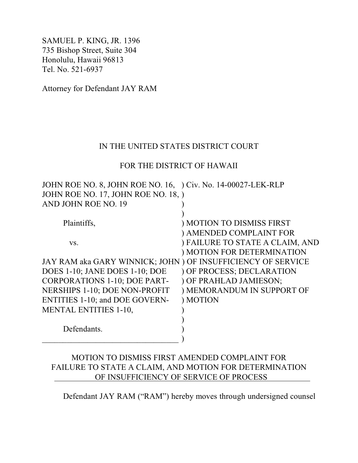SAMUEL P. KING, JR. 1396 735 Bishop Street, Suite 304 Honolulu, Hawaii 96813 Tel. No. 521-6937

Attorney for Defendant JAY RAM

### IN THE UNITED STATES DISTRICT COURT

### FOR THE DISTRICT OF HAWAII

| JOHN ROE NO. 8, JOHN ROE NO. 16, Civ. No. 14-00027-LEK-RLP   |                                 |
|--------------------------------------------------------------|---------------------------------|
| JOHN ROE NO. 17, JOHN ROE NO. 18, )                          |                                 |
| AND JOHN ROE NO. 19                                          |                                 |
|                                                              |                                 |
| Plaintiffs,                                                  | ) MOTION TO DISMISS FIRST       |
|                                                              | ) AMENDED COMPLAINT FOR         |
| VS.                                                          | ) FAILURE TO STATE A CLAIM, AND |
|                                                              | ) MOTION FOR DETERMINATION      |
| JAY RAM aka GARY WINNICK; JOHN ) OF INSUFFICIENCY OF SERVICE |                                 |
| DOES 1-10; JANE DOES 1-10; DOE                               | ) OF PROCESS; DECLARATION       |
| <b>CORPORATIONS 1-10; DOE PART-</b>                          | ) OF PRAHLAD JAMIESON;          |
| NERSHIPS 1-10; DOE NON-PROFIT                                | ) MEMORANDUM IN SUPPORT OF      |
| <b>ENTITIES 1-10; and DOE GOVERN-</b>                        | ) MOTION                        |
| <b>MENTAL ENTITIES 1-10,</b>                                 |                                 |
|                                                              |                                 |
| Defendants.                                                  |                                 |
|                                                              |                                 |

# MOTION TO DISMISS FIRST AMENDED COMPLAINT FOR FAILURE TO STATE A CLAIM, AND MOTION FOR DETERMINATION OF INSUFFICIENCY OF SERVICE OF PROCESS

Defendant JAY RAM ("RAM") hereby moves through undersigned counsel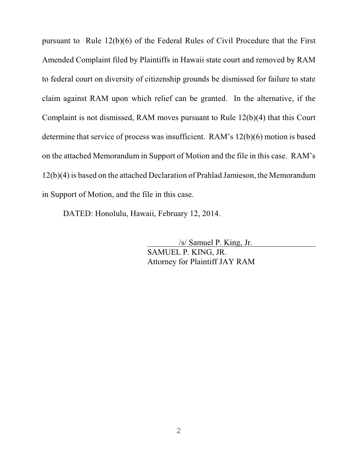pursuant to Rule 12(b)(6) of the Federal Rules of Civil Procedure that the First Amended Complaint filed by Plaintiffs in Hawaii state court and removed by RAM to federal court on diversity of citizenship grounds be dismissed for failure to state claim against RAM upon which relief can be granted. In the alternative, if the Complaint is not dismissed, RAM moves pursuant to Rule 12(b)(4) that this Court determine that service of process was insufficient. RAM's 12(b)(6) motion is based on the attached Memorandum in Support of Motion and the file in this case. RAM's 12(b)(4) is based on the attached Declaration of Prahlad Jamieson, the Memorandum in Support of Motion, and the file in this case.

DATED: Honolulu, Hawaii, February 12, 2014.

 /s/ Samuel P. King, Jr. SAMUEL P. KING, JR. Attorney for Plaintiff JAY RAM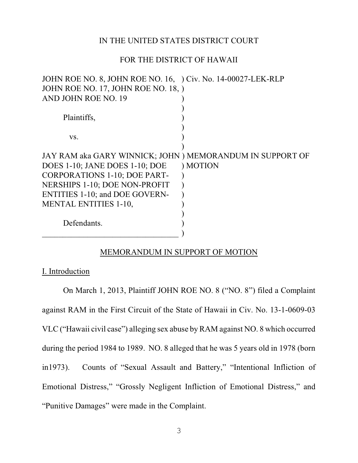#### IN THE UNITED STATES DISTRICT COURT

#### FOR THE DISTRICT OF HAWAII

| JOHN ROE NO. 8, JOHN ROE NO. 16, Civ. No. 14-00027-LEK-RLP |          |
|------------------------------------------------------------|----------|
| JOHN ROE NO. 17, JOHN ROE NO. 18, )                        |          |
| AND JOHN ROE NO. 19                                        |          |
|                                                            |          |
| Plaintiffs,                                                |          |
|                                                            |          |
| VS.                                                        |          |
|                                                            |          |
| JAY RAM aka GARY WINNICK; JOHN ) MEMORANDUM IN SUPPORT OF  |          |
| DOES 1-10; JANE DOES 1-10; DOE                             | ) MOTION |
| <b>CORPORATIONS 1-10; DOE PART-</b>                        |          |
| NERSHIPS 1-10; DOE NON-PROFIT                              |          |
| <b>ENTITIES 1-10; and DOE GOVERN-</b>                      |          |
| <b>MENTAL ENTITIES 1-10,</b>                               |          |
|                                                            |          |
| Defendants.                                                |          |
|                                                            |          |
|                                                            |          |

### MEMORANDUM IN SUPPORT OF MOTION

I. Introduction

On March 1, 2013, Plaintiff JOHN ROE NO. 8 ("NO. 8") filed a Complaint against RAM in the First Circuit of the State of Hawaii in Civ. No. 13-1-0609-03 VLC ("Hawaii civil case") alleging sex abuse by RAM against NO. 8 which occurred during the period 1984 to 1989. NO. 8 alleged that he was 5 years old in 1978 (born in1973). Counts of "Sexual Assault and Battery," "Intentional Infliction of Emotional Distress," "Grossly Negligent Infliction of Emotional Distress," and "Punitive Damages" were made in the Complaint.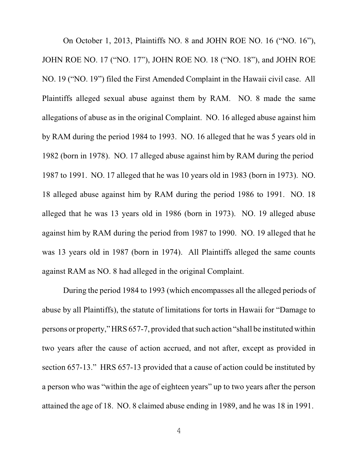On October 1, 2013, Plaintiffs NO. 8 and JOHN ROE NO. 16 ("NO. 16"), JOHN ROE NO. 17 ("NO. 17"), JOHN ROE NO. 18 ("NO. 18"), and JOHN ROE NO. 19 ("NO. 19") filed the First Amended Complaint in the Hawaii civil case. All Plaintiffs alleged sexual abuse against them by RAM. NO. 8 made the same allegations of abuse as in the original Complaint. NO. 16 alleged abuse against him by RAM during the period 1984 to 1993. NO. 16 alleged that he was 5 years old in 1982 (born in 1978). NO. 17 alleged abuse against him by RAM during the period 1987 to 1991. NO. 17 alleged that he was 10 years old in 1983 (born in 1973). NO. 18 alleged abuse against him by RAM during the period 1986 to 1991. NO. 18 alleged that he was 13 years old in 1986 (born in 1973). NO. 19 alleged abuse against him by RAM during the period from 1987 to 1990. NO. 19 alleged that he was 13 years old in 1987 (born in 1974). All Plaintiffs alleged the same counts against RAM as NO. 8 had alleged in the original Complaint.

During the period 1984 to 1993 (which encompasses all the alleged periods of abuse by all Plaintiffs), the statute of limitations for torts in Hawaii for "Damage to persons or property," HRS 657-7, provided thatsuch action "shall be instituted within two years after the cause of action accrued, and not after, except as provided in section 657-13." HRS 657-13 provided that a cause of action could be instituted by a person who was "within the age of eighteen years" up to two years after the person attained the age of 18. NO. 8 claimed abuse ending in 1989, and he was 18 in 1991.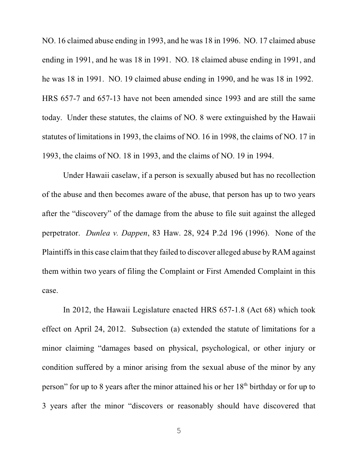NO. 16 claimed abuse ending in 1993, and he was 18 in 1996. NO. 17 claimed abuse ending in 1991, and he was 18 in 1991. NO. 18 claimed abuse ending in 1991, and he was 18 in 1991. NO. 19 claimed abuse ending in 1990, and he was 18 in 1992. HRS 657-7 and 657-13 have not been amended since 1993 and are still the same today. Under these statutes, the claims of NO. 8 were extinguished by the Hawaii statutes of limitations in 1993, the claims of NO. 16 in 1998, the claims of NO. 17 in 1993, the claims of NO. 18 in 1993, and the claims of NO. 19 in 1994.

Under Hawaii caselaw, if a person is sexually abused but has no recollection of the abuse and then becomes aware of the abuse, that person has up to two years after the "discovery" of the damage from the abuse to file suit against the alleged perpetrator. *Dunlea v. Dappen*, 83 Haw. 28, 924 P.2d 196 (1996). None of the Plaintiffs in this case claim that they failed to discover alleged abuse by RAM against them within two years of filing the Complaint or First Amended Complaint in this case.

In 2012, the Hawaii Legislature enacted HRS 657-1.8 (Act 68) which took effect on April 24, 2012. Subsection (a) extended the statute of limitations for a minor claiming "damages based on physical, psychological, or other injury or condition suffered by a minor arising from the sexual abuse of the minor by any person" for up to 8 years after the minor attained his or her  $18<sup>th</sup>$  birthday or for up to 3 years after the minor "discovers or reasonably should have discovered that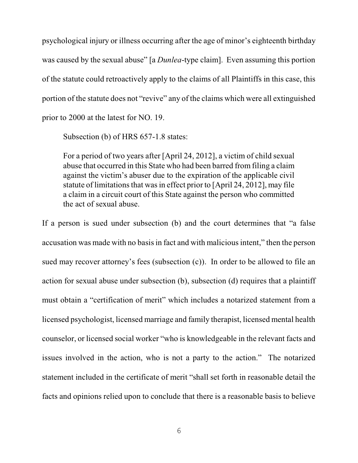psychological injury or illness occurring after the age of minor's eighteenth birthday was caused by the sexual abuse" [a *Dunlea*-type claim]. Even assuming this portion of the statute could retroactively apply to the claims of all Plaintiffs in this case, this portion of the statute does not "revive" any of the claims which were all extinguished prior to 2000 at the latest for NO. 19.

Subsection (b) of HRS 657-1.8 states:

For a period of two years after [April 24, 2012], a victim of child sexual abuse that occurred in this State who had been barred fromfiling a claim against the victim's abuser due to the expiration of the applicable civil statute of limitations that was in effect prior to [April 24, 2012], may file a claim in a circuit court of this State against the person who committed the act of sexual abuse.

If a person is sued under subsection (b) and the court determines that "a false accusation was made with no basis in fact and with malicious intent," then the person sued may recover attorney's fees (subsection (c)). In order to be allowed to file an action for sexual abuse under subsection (b), subsection (d) requires that a plaintiff must obtain a "certification of merit" which includes a notarized statement from a licensed psychologist, licensed marriage and family therapist, licensed mental health counselor, or licensed social worker "who is knowledgeable in the relevant facts and issues involved in the action, who is not a party to the action." The notarized statement included in the certificate of merit "shall set forth in reasonable detail the facts and opinions relied upon to conclude that there is a reasonable basis to believe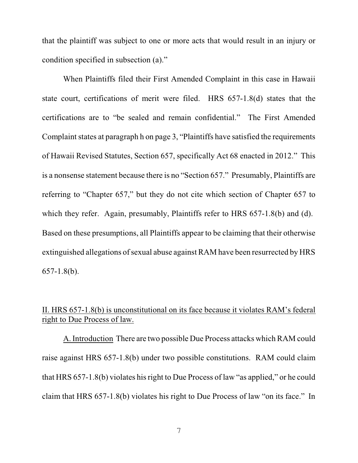that the plaintiff was subject to one or more acts that would result in an injury or condition specified in subsection (a)."

When Plaintiffs filed their First Amended Complaint in this case in Hawaii state court, certifications of merit were filed. HRS 657-1.8(d) states that the certifications are to "be sealed and remain confidential." The First Amended Complaint states at paragraph h on page 3, "Plaintiffs have satisfied the requirements of Hawaii Revised Statutes, Section 657, specifically Act 68 enacted in 2012." This is a nonsense statement because there is no "Section 657." Presumably, Plaintiffs are referring to "Chapter 657," but they do not cite which section of Chapter 657 to which they refer. Again, presumably, Plaintiffs refer to HRS 657-1.8(b) and (d). Based on these presumptions, all Plaintiffs appear to be claiming that their otherwise extinguished allegations of sexual abuse against RAM have been resurrected by HRS 657-1.8(b).

## II. HRS 657-1.8(b) is unconstitutional on its face because it violates RAM's federal right to Due Process of law.

A. Introduction There are two possible Due Process attacks which RAM could raise against HRS 657-1.8(b) under two possible constitutions. RAM could claim that HRS 657-1.8(b) violates his right to Due Process of law "as applied," or he could claim that HRS 657-1.8(b) violates his right to Due Process of law "on its face." In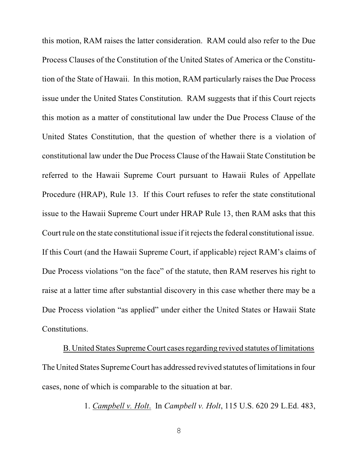this motion, RAM raises the latter consideration. RAM could also refer to the Due Process Clauses of the Constitution of the United States of America or the Constitution of the State of Hawaii. In this motion, RAM particularly raises the Due Process issue under the United States Constitution. RAM suggests that if this Court rejects this motion as a matter of constitutional law under the Due Process Clause of the United States Constitution, that the question of whether there is a violation of constitutional law under the Due Process Clause of the Hawaii State Constitution be referred to the Hawaii Supreme Court pursuant to Hawaii Rules of Appellate Procedure (HRAP), Rule 13. If this Court refuses to refer the state constitutional issue to the Hawaii Supreme Court under HRAP Rule 13, then RAM asks that this Court rule on the state constitutional issue if it rejects the federal constitutional issue. If this Court (and the Hawaii Supreme Court, if applicable) reject RAM's claims of Due Process violations "on the face" of the statute, then RAM reserves his right to raise at a latter time after substantial discovery in this case whether there may be a Due Process violation "as applied" under either the United States or Hawaii State Constitutions.

B. United States Supreme Court cases regarding revived statutes of limitations The United States Supreme Court has addressed revived statutes of limitations in four cases, none of which is comparable to the situation at bar.

1. *Campbell v. Holt*. In *Campbell v. Holt*, 115 U.S. 620 29 L.Ed. 483,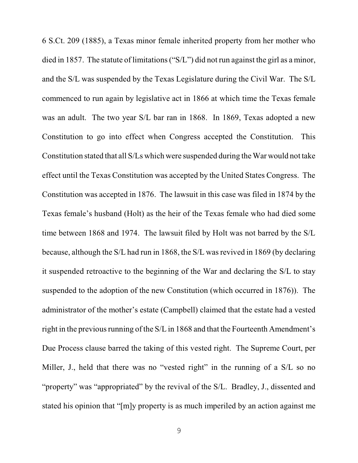6 S.Ct. 209 (1885), a Texas minor female inherited property from her mother who died in 1857. The statute of limitations ("S/L") did not run against the girl as a minor, and the S/L was suspended by the Texas Legislature during the Civil War. The S/L commenced to run again by legislative act in 1866 at which time the Texas female was an adult. The two year S/L bar ran in 1868. In 1869, Texas adopted a new Constitution to go into effect when Congress accepted the Constitution. This Constitution stated that all S/Ls which were suspended during the War would not take effect until the Texas Constitution was accepted by the United States Congress. The Constitution was accepted in 1876. The lawsuit in this case was filed in 1874 by the Texas female's husband (Holt) as the heir of the Texas female who had died some time between 1868 and 1974. The lawsuit filed by Holt was not barred by the S/L because, although the S/L had run in 1868, the S/L wasrevived in 1869 (by declaring it suspended retroactive to the beginning of the War and declaring the S/L to stay suspended to the adoption of the new Constitution (which occurred in 1876)). The administrator of the mother's estate (Campbell) claimed that the estate had a vested right in the previous running of the S/L in 1868 and that the Fourteenth Amendment's Due Process clause barred the taking of this vested right. The Supreme Court, per Miller, J., held that there was no "vested right" in the running of a S/L so no "property" was "appropriated" by the revival of the S/L. Bradley, J., dissented and stated his opinion that "[m]y property is as much imperiled by an action against me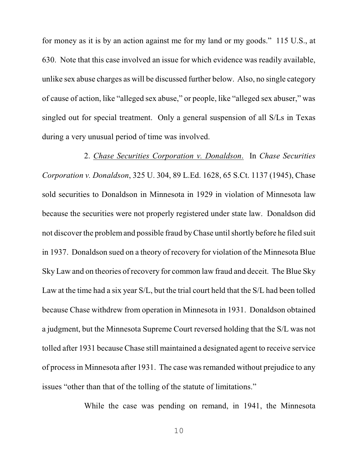for money as it is by an action against me for my land or my goods." 115 U.S., at 630. Note that this case involved an issue for which evidence was readily available, unlike sex abuse charges as will be discussed further below. Also, no single category of cause of action, like "alleged sex abuse," or people, like "alleged sex abuser," was singled out for special treatment. Only a general suspension of all S/Ls in Texas during a very unusual period of time was involved.

2. *Chase Securities Corporation v. Donaldson*. In *Chase Securities Corporation v. Donaldson*, 325 U. 304, 89 L.Ed. 1628, 65 S.Ct. 1137 (1945), Chase sold securities to Donaldson in Minnesota in 1929 in violation of Minnesota law because the securities were not properly registered under state law. Donaldson did not discover the problemand possible fraud by Chase until shortly before he filed suit in 1937. Donaldson sued on a theory of recovery for violation of the Minnesota Blue Sky Law and on theories of recovery for common law fraud and deceit. The Blue Sky Law at the time had a six year S/L, but the trial court held that the S/L had been tolled because Chase withdrew from operation in Minnesota in 1931. Donaldson obtained a judgment, but the Minnesota Supreme Court reversed holding that the S/L was not tolled after 1931 because Chase still maintained a designated agent to receive service of process in Minnesota after 1931. The case wasremanded without prejudice to any issues "other than that of the tolling of the statute of limitations."

While the case was pending on remand, in 1941, the Minnesota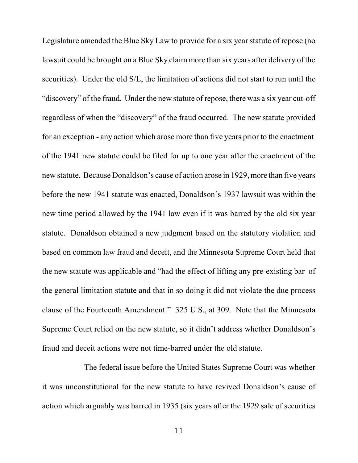Legislature amended the Blue Sky Law to provide for a six year statute of repose (no lawsuit could be brought on a Blue Sky claim more than six years after delivery of the securities). Under the old S/L, the limitation of actions did not start to run until the "discovery" of the fraud. Under the new statute of repose, there was a six year cut-off regardless of when the "discovery" of the fraud occurred. The new statute provided for an exception - any action which arose more than five years prior to the enactment of the 1941 new statute could be filed for up to one year after the enactment of the new statute. Because Donaldson's cause of action arose in 1929, more than five years before the new 1941 statute was enacted, Donaldson's 1937 lawsuit was within the new time period allowed by the 1941 law even if it was barred by the old six year statute. Donaldson obtained a new judgment based on the statutory violation and based on common law fraud and deceit, and the Minnesota Supreme Court held that the new statute was applicable and "had the effect of lifting any pre-existing bar of the general limitation statute and that in so doing it did not violate the due process clause of the Fourteenth Amendment." 325 U.S., at 309. Note that the Minnesota Supreme Court relied on the new statute, so it didn't address whether Donaldson's fraud and deceit actions were not time-barred under the old statute.

The federal issue before the United States Supreme Court was whether it was unconstitutional for the new statute to have revived Donaldson's cause of action which arguably was barred in 1935 (six years after the 1929 sale of securities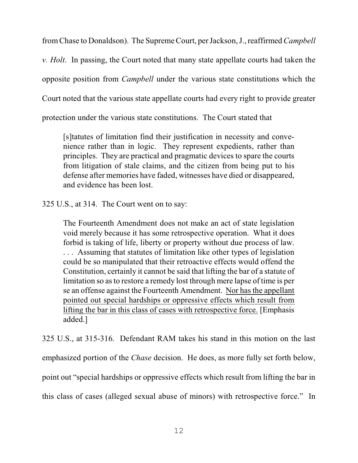fromChase to Donaldson). The Supreme Court, per Jackson, J., reaffirmed*Campbell*

*v. Holt*. In passing, the Court noted that many state appellate courts had taken the

opposite position from *Campbell* under the various state constitutions which the

Court noted that the various state appellate courts had every right to provide greater

protection under the various state constitutions. The Court stated that

[s]tatutes of limitation find their justification in necessity and convenience rather than in logic. They represent expedients, rather than principles. They are practical and pragmatic devices to spare the courts from litigation of stale claims, and the citizen from being put to his defense after memories have faded, witnesses have died or disappeared, and evidence has been lost.

325 U.S., at 314. The Court went on to say:

The Fourteenth Amendment does not make an act of state legislation void merely because it has some retrospective operation. What it does forbid is taking of life, liberty or property without due process of law. . . . Assuming that statutes of limitation like other types of legislation could be so manipulated that their retroactive effects would offend the Constitution, certainly it cannot be said that lifting the bar of a statute of limitation so asto restore a remedy lost through mere lapse of time is per se an offense against the Fourteenth Amendment. Nor has the appellant pointed out special hardships or oppressive effects which result from lifting the bar in this class of cases with retrospective force. [Emphasis added.]

325 U.S., at 315-316. Defendant RAM takes his stand in this motion on the last emphasized portion of the *Chase* decision. He does, as more fully set forth below, point out "special hardships or oppressive effects which result from lifting the bar in this class of cases (alleged sexual abuse of minors) with retrospective force." In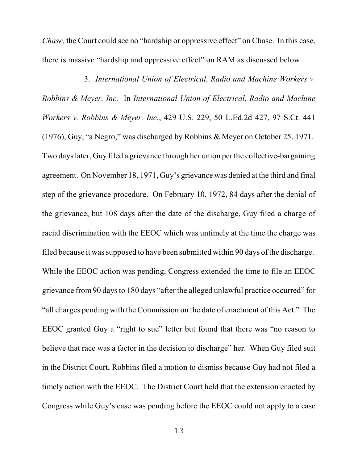*Chase*, the Court could see no "hardship or oppressive effect" on Chase. In this case, there is massive "hardship and oppressive effect" on RAM as discussed below.

3. *International Union of Electrical, Radio and Machine Workers v. Robbins & Meyer, Inc.* In *International Union of Electrical, Radio and Machine Workers v. Robbins & Meyer, Inc.*, 429 U.S. 229, 50 L.Ed.2d 427, 97 S.Ct. 441 (1976), Guy, "a Negro," was discharged by Robbins & Meyer on October 25, 1971. Two days later, Guy filed a grievance through her union per the collective-bargaining agreement. On November 18, 1971, Guy's grievance was denied at the third and final step of the grievance procedure. On February 10, 1972, 84 days after the denial of the grievance, but 108 days after the date of the discharge, Guy filed a charge of racial discrimination with the EEOC which was untimely at the time the charge was filed because it was supposed to have been submitted within 90 days of the discharge. While the EEOC action was pending, Congress extended the time to file an EEOC grievance from 90 days to 180 days "after the alleged unlawful practice occurred" for "all charges pending with the Commission on the date of enactment of this Act." The EEOC granted Guy a "right to sue" letter but found that there was "no reason to believe that race was a factor in the decision to discharge" her. When Guy filed suit in the District Court, Robbins filed a motion to dismiss because Guy had not filed a timely action with the EEOC. The District Court held that the extension enacted by Congress while Guy's case was pending before the EEOC could not apply to a case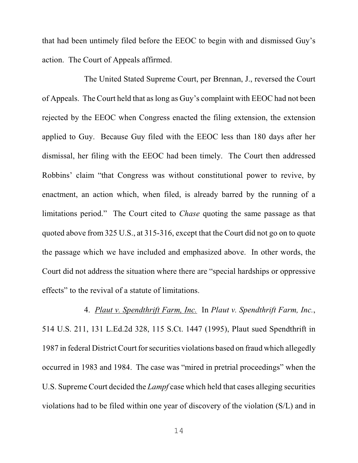that had been untimely filed before the EEOC to begin with and dismissed Guy's action. The Court of Appeals affirmed.

The United Stated Supreme Court, per Brennan, J., reversed the Court of Appeals. The Court held that aslong as Guy's complaint with EEOC had not been rejected by the EEOC when Congress enacted the filing extension, the extension applied to Guy. Because Guy filed with the EEOC less than 180 days after her dismissal, her filing with the EEOC had been timely. The Court then addressed Robbins' claim "that Congress was without constitutional power to revive, by enactment, an action which, when filed, is already barred by the running of a limitations period." The Court cited to *Chase* quoting the same passage as that quoted above from 325 U.S., at 315-316, except that the Court did not go on to quote the passage which we have included and emphasized above. In other words, the Court did not address the situation where there are "special hardships or oppressive effects" to the revival of a statute of limitations.

4. *Plaut v. Spendthrift Farm, Inc.* In *Plaut v. Spendthrift Farm, Inc.*, 514 U.S. 211, 131 L.Ed.2d 328, 115 S.Ct. 1447 (1995), Plaut sued Spendthrift in 1987 in federal District Court for securities violations based on fraud which allegedly occurred in 1983 and 1984. The case was "mired in pretrial proceedings" when the U.S. Supreme Court decided the *Lampf* case which held that cases alleging securities violations had to be filed within one year of discovery of the violation (S/L) and in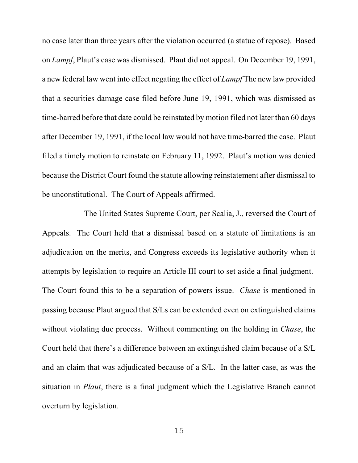no case later than three years after the violation occurred (a statue of repose). Based on *Lampf*, Plaut's case was dismissed. Plaut did not appeal. On December 19, 1991, a new federal law went into effect negating the effect of *Lampf* The new law provided that a securities damage case filed before June 19, 1991, which was dismissed as time-barred before that date could be reinstated by motion filed not later than 60 days after December 19, 1991, if the local law would not have time-barred the case. Plaut filed a timely motion to reinstate on February 11, 1992. Plaut's motion was denied because the District Court found the statute allowing reinstatement after dismissal to be unconstitutional. The Court of Appeals affirmed.

The United States Supreme Court, per Scalia, J., reversed the Court of Appeals. The Court held that a dismissal based on a statute of limitations is an adjudication on the merits, and Congress exceeds its legislative authority when it attempts by legislation to require an Article III court to set aside a final judgment. The Court found this to be a separation of powers issue. *Chase* is mentioned in passing because Plaut argued that S/Ls can be extended even on extinguished claims without violating due process. Without commenting on the holding in *Chase*, the Court held that there's a difference between an extinguished claim because of a S/L and an claim that was adjudicated because of a S/L. In the latter case, as was the situation in *Plaut*, there is a final judgment which the Legislative Branch cannot overturn by legislation.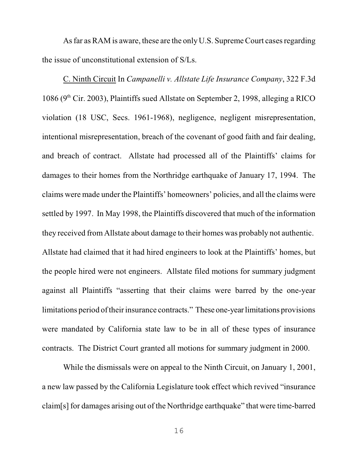As far as RAM is aware, these are the only U.S. Supreme Court cases regarding the issue of unconstitutional extension of S/Ls.

C. Ninth Circuit In *Campanelli v. Allstate Life Insurance Company*, 322 F.3d 1086 ( $9<sup>th</sup>$  Cir. 2003), Plaintiffs sued Allstate on September 2, 1998, alleging a RICO violation (18 USC, Secs. 1961-1968), negligence, negligent misrepresentation, intentional misrepresentation, breach of the covenant of good faith and fair dealing, and breach of contract. Allstate had processed all of the Plaintiffs' claims for damages to their homes from the Northridge earthquake of January 17, 1994. The claims were made under the Plaintiffs' homeowners' policies, and all the claims were settled by 1997. In May 1998, the Plaintiffs discovered that much of the information they received fromAllstate about damage to their homes was probably not authentic. Allstate had claimed that it had hired engineers to look at the Plaintiffs' homes, but the people hired were not engineers. Allstate filed motions for summary judgment against all Plaintiffs "asserting that their claims were barred by the one-year limitations period oftheir insurance contracts." These one-year limitations provisions were mandated by California state law to be in all of these types of insurance contracts. The District Court granted all motions for summary judgment in 2000.

While the dismissals were on appeal to the Ninth Circuit, on January 1, 2001, a new law passed by the California Legislature took effect which revived "insurance claim[s] for damages arising out of the Northridge earthquake" that were time-barred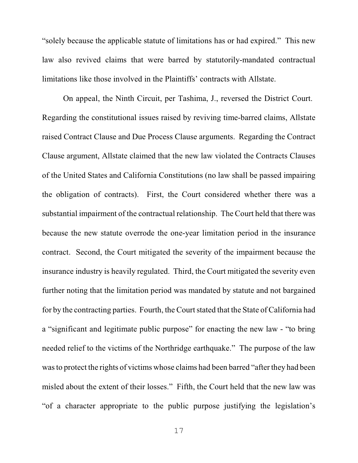"solely because the applicable statute of limitations has or had expired." This new law also revived claims that were barred by statutorily-mandated contractual limitations like those involved in the Plaintiffs' contracts with Allstate.

On appeal, the Ninth Circuit, per Tashima, J., reversed the District Court. Regarding the constitutional issues raised by reviving time-barred claims, Allstate raised Contract Clause and Due Process Clause arguments. Regarding the Contract Clause argument, Allstate claimed that the new law violated the Contracts Clauses of the United States and California Constitutions (no law shall be passed impairing the obligation of contracts). First, the Court considered whether there was a substantial impairment of the contractual relationship. The Court held that there was because the new statute overrode the one-year limitation period in the insurance contract. Second, the Court mitigated the severity of the impairment because the insurance industry is heavily regulated. Third, the Court mitigated the severity even further noting that the limitation period was mandated by statute and not bargained for by the contracting parties. Fourth, the Court stated that the State of California had a "significant and legitimate public purpose" for enacting the new law - "to bring needed relief to the victims of the Northridge earthquake." The purpose of the law wasto protect the rights of victims whose claims had been barred "after they had been misled about the extent of their losses." Fifth, the Court held that the new law was "of a character appropriate to the public purpose justifying the legislation's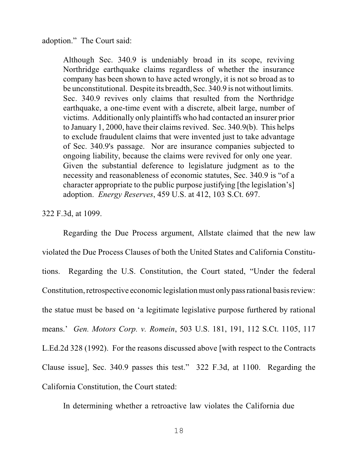adoption." The Court said:

Although Sec. 340.9 is undeniably broad in its scope, reviving Northridge earthquake claims regardless of whether the insurance company has been shown to have acted wrongly, it is not so broad as to be unconstitutional. Despite its breadth, Sec. 340.9 is not without limits. Sec. 340.9 revives only claims that resulted from the Northridge earthquake, a one-time event with a discrete, albeit large, number of victims. Additionally only plaintiffs who had contacted an insurer prior to January 1, 2000, have their claims revived. Sec. 340.9(b). This helps to exclude fraudulent claims that were invented just to take advantage of Sec. 340.9's passage. Nor are insurance companies subjected to ongoing liability, because the claims were revived for only one year. Given the substantial deference to legislature judgment as to the necessity and reasonableness of economic statutes, Sec. 340.9 is "of a character appropriate to the public purpose justifying [the legislation's] adoption. *Energy Reserves*, 459 U.S. at 412, 103 S.Ct. 697.

322 F.3d, at 1099.

Regarding the Due Process argument, Allstate claimed that the new law violated the Due Process Clauses of both the United States and California Constitutions. Regarding the U.S. Constitution, the Court stated, "Under the federal Constitution, retrospective economic legislation must onlypass rational basis review: the statue must be based on 'a legitimate legislative purpose furthered by rational means.' *Gen. Motors Corp. v. Romein*, 503 U.S. 181, 191, 112 S.Ct. 1105, 117 L.Ed.2d 328 (1992). For the reasons discussed above [with respect to the Contracts Clause issue], Sec. 340.9 passes this test." 322 F.3d, at 1100. Regarding the California Constitution, the Court stated:

In determining whether a retroactive law violates the California due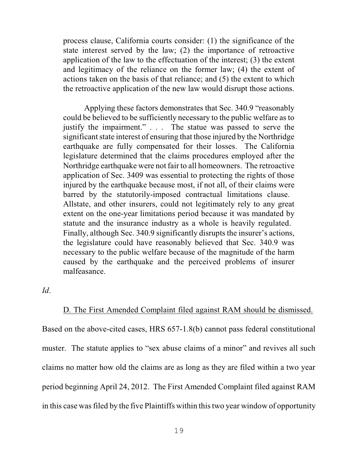process clause, California courts consider: (1) the significance of the state interest served by the law; (2) the importance of retroactive application of the law to the effectuation of the interest; (3) the extent and legitimacy of the reliance on the former law; (4) the extent of actions taken on the basis of that reliance; and (5) the extent to which the retroactive application of the new law would disrupt those actions.

Applying these factors demonstrates that Sec. 340.9 "reasonably could be believed to be sufficiently necessary to the public welfare as to justify the impairment." . . . The statue was passed to serve the significant state interest of ensuring that those injured by the Northridge earthquake are fully compensated for their losses. The California legislature determined that the claims procedures employed after the Northridge earthquake were not fair to all homeowners. The retroactive application of Sec. 3409 was essential to protecting the rights of those injured by the earthquake because most, if not all, of their claims were barred by the statutorily-imposed contractual limitations clause. Allstate, and other insurers, could not legitimately rely to any great extent on the one-year limitations period because it was mandated by statute and the insurance industry as a whole is heavily regulated. Finally, although Sec. 340.9 significantly disrupts the insurer's actions, the legislature could have reasonably believed that Sec. 340.9 was necessary to the public welfare because of the magnitude of the harm caused by the earthquake and the perceived problems of insurer malfeasance.

*Id*.

# D. The First Amended Complaint filed against RAM should be dismissed.

Based on the above-cited cases, HRS 657-1.8(b) cannot pass federal constitutional muster. The statute applies to "sex abuse claims of a minor" and revives all such claims no matter how old the claims are as long as they are filed within a two year period beginning April 24, 2012. The First Amended Complaint filed against RAM in this case was filed by the five Plaintiffs within this two year window of opportunity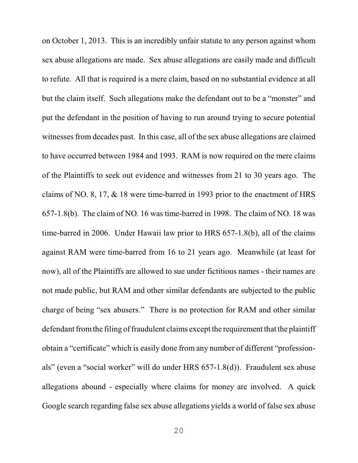on October 1, 2013. This is an incredibly unfair statute to any person against whom sex abuse allegations are made. Sex abuse allegations are easily made and difficult to refute. All that is required is a mere claim, based on no substantial evidence at all but the claim itself. Such allegations make the defendant out to be a "monster" and put the defendant in the position of having to run around trying to secure potential witnesses from decades past. In this case, all of the sex abuse allegations are claimed to have occurred between 1984 and 1993. RAM is now required on the mere claims of the Plaintiffs to seek out evidence and witnesses from 21 to 30 years ago. The claims of NO. 8, 17, & 18 were time-barred in 1993 prior to the enactment of HRS 657-1.8(b). The claim of NO. 16 was time-barred in 1998. The claim of NO. 18 was time-barred in 2006. Under Hawaii law prior to HRS 657-1.8(b), all of the claims against RAM were time-barred from 16 to 21 years ago. Meanwhile (at least for now), all of the Plaintiffs are allowed to sue under fictitious names - their names are not made public, but RAM and other similar defendants are subjected to the public charge of being "sex abusers." There is no protection for RAM and other similar defendant from the filing of fraudulent claims except the requirement that the plaintiff obtain a "certificate" which is easily done from any number of different "professionals" (even a "social worker" will do under HRS 657-1.8(d)). Fraudulent sex abuse allegations abound - especially where claims for money are involved. A quick Google search regarding false sex abuse allegations yields a world of false sex abuse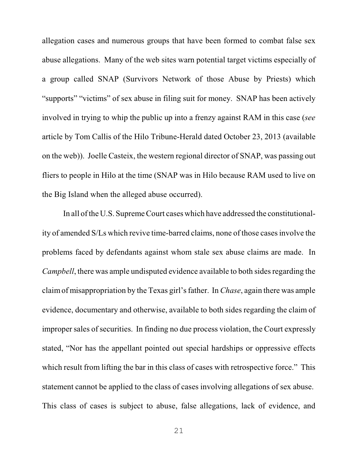allegation cases and numerous groups that have been formed to combat false sex abuse allegations. Many of the web sites warn potential target victims especially of a group called SNAP (Survivors Network of those Abuse by Priests) which "supports" "victims" of sex abuse in filing suit for money. SNAP has been actively involved in trying to whip the public up into a frenzy against RAM in this case (*see* article by Tom Callis of the Hilo Tribune-Herald dated October 23, 2013 (available on the web)). Joelle Casteix, the western regional director of SNAP, was passing out fliers to people in Hilo at the time (SNAP was in Hilo because RAM used to live on the Big Island when the alleged abuse occurred).

In all ofthe U.S. Supreme Court cases which have addressed the constitutionality of amended S/Ls which revive time-barred claims, none of those casesinvolve the problems faced by defendants against whom stale sex abuse claims are made. In *Campbell*, there was ample undisputed evidence available to both sides regarding the claimof misappropriation by the Texas girl's father. In *Chase*, again there was ample evidence, documentary and otherwise, available to both sides regarding the claim of improper sales of securities. In finding no due process violation, the Court expressly stated, "Nor has the appellant pointed out special hardships or oppressive effects which result from lifting the bar in this class of cases with retrospective force." This statement cannot be applied to the class of cases involving allegations of sex abuse. This class of cases is subject to abuse, false allegations, lack of evidence, and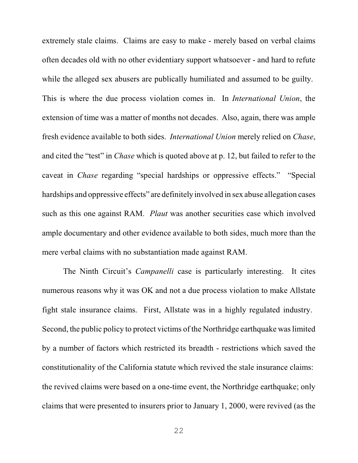extremely stale claims. Claims are easy to make - merely based on verbal claims often decades old with no other evidentiary support whatsoever - and hard to refute while the alleged sex abusers are publically humiliated and assumed to be guilty. This is where the due process violation comes in. In *International Union*, the extension of time was a matter of months not decades. Also, again, there was ample fresh evidence available to both sides. *International Union* merely relied on *Chase*, and cited the "test" in *Chase* which is quoted above at p. 12, but failed to refer to the caveat in *Chase* regarding "special hardships or oppressive effects." "Special hardships and oppressive effects" are definitely involved in sex abuse allegation cases such as this one against RAM. *Plaut* was another securities case which involved ample documentary and other evidence available to both sides, much more than the mere verbal claims with no substantiation made against RAM.

The Ninth Circuit's *Campanelli* case is particularly interesting. It cites numerous reasons why it was OK and not a due process violation to make Allstate fight stale insurance claims. First, Allstate was in a highly regulated industry. Second, the public policy to protect victims of the Northridge earthquake waslimited by a number of factors which restricted its breadth - restrictions which saved the constitutionality of the California statute which revived the stale insurance claims: the revived claims were based on a one-time event, the Northridge earthquake; only claims that were presented to insurers prior to January 1, 2000, were revived (as the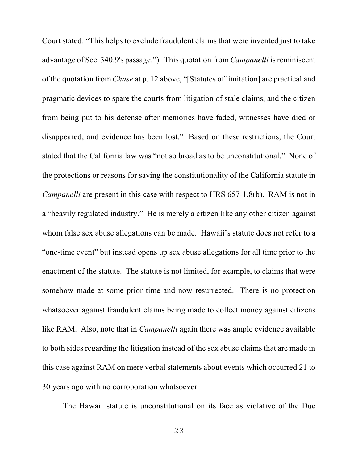Court stated: "This helps to exclude fraudulent claims that were invented just to take advantage of Sec. 340.9's passage."). This quotation from *Campanelli* is reminiscent of the quotation from *Chase* at p. 12 above, "[Statutes of limitation] are practical and pragmatic devices to spare the courts from litigation of stale claims, and the citizen from being put to his defense after memories have faded, witnesses have died or disappeared, and evidence has been lost." Based on these restrictions, the Court stated that the California law was "not so broad as to be unconstitutional." None of the protections or reasons for saving the constitutionality of the California statute in *Campanelli* are present in this case with respect to HRS 657-1.8(b). RAM is not in a "heavily regulated industry." He is merely a citizen like any other citizen against whom false sex abuse allegations can be made. Hawaii's statute does not refer to a "one-time event" but instead opens up sex abuse allegations for all time prior to the enactment of the statute. The statute is not limited, for example, to claims that were somehow made at some prior time and now resurrected. There is no protection whatsoever against fraudulent claims being made to collect money against citizens like RAM. Also, note that in *Campanelli* again there was ample evidence available to both sides regarding the litigation instead of the sex abuse claims that are made in this case against RAM on mere verbal statements about events which occurred 21 to 30 years ago with no corroboration whatsoever.

The Hawaii statute is unconstitutional on its face as violative of the Due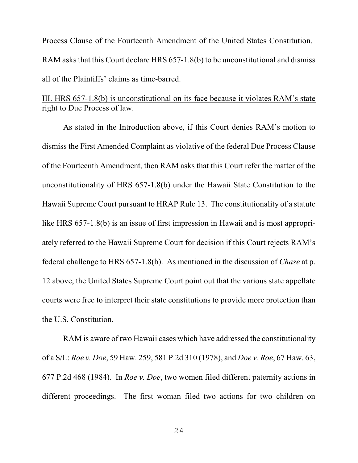Process Clause of the Fourteenth Amendment of the United States Constitution. RAM asks that this Court declare HRS 657-1.8(b) to be unconstitutional and dismiss all of the Plaintiffs' claims as time-barred.

## III. HRS 657-1.8(b) is unconstitutional on its face because it violates RAM's state right to Due Process of law.

As stated in the Introduction above, if this Court denies RAM's motion to dismiss the First Amended Complaint as violative of the federal Due Process Clause of the Fourteenth Amendment, then RAM asks that this Court refer the matter of the unconstitutionality of HRS 657-1.8(b) under the Hawaii State Constitution to the Hawaii Supreme Court pursuant to HRAP Rule 13. The constitutionality of a statute like HRS 657-1.8(b) is an issue of first impression in Hawaii and is most appropriately referred to the Hawaii Supreme Court for decision if this Court rejects RAM's federal challenge to HRS 657-1.8(b). As mentioned in the discussion of *Chase* at p. 12 above, the United States Supreme Court point out that the various state appellate courts were free to interpret their state constitutions to provide more protection than the U.S. Constitution.

RAM is aware of two Hawaii cases which have addressed the constitutionality of a S/L: *Roe v. Doe*, 59 Haw. 259, 581 P.2d 310 (1978), and *Doe v. Roe*, 67 Haw. 63, 677 P.2d 468 (1984). In *Roe v. Doe*, two women filed different paternity actions in different proceedings. The first woman filed two actions for two children on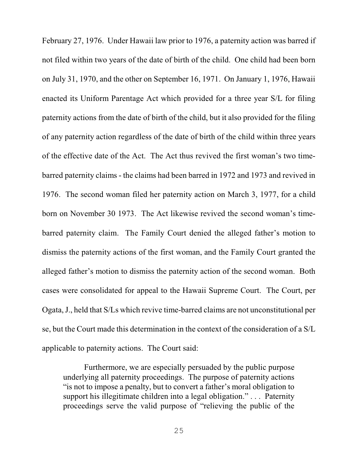February 27, 1976. Under Hawaii law prior to 1976, a paternity action was barred if not filed within two years of the date of birth of the child. One child had been born on July 31, 1970, and the other on September 16, 1971. On January 1, 1976, Hawaii enacted its Uniform Parentage Act which provided for a three year S/L for filing paternity actions from the date of birth of the child, but it also provided for the filing of any paternity action regardless of the date of birth of the child within three years of the effective date of the Act. The Act thus revived the first woman's two timebarred paternity claims - the claims had been barred in 1972 and 1973 and revived in 1976. The second woman filed her paternity action on March 3, 1977, for a child born on November 30 1973. The Act likewise revived the second woman's timebarred paternity claim. The Family Court denied the alleged father's motion to dismiss the paternity actions of the first woman, and the Family Court granted the alleged father's motion to dismiss the paternity action of the second woman. Both cases were consolidated for appeal to the Hawaii Supreme Court. The Court, per Ogata, J., held that S/Ls which revive time-barred claims are not unconstitutional per se, but the Court made this determination in the context of the consideration of a S/L applicable to paternity actions. The Court said:

Furthermore, we are especially persuaded by the public purpose underlying all paternity proceedings. The purpose of paternity actions "is not to impose a penalty, but to convert a father's moral obligation to support his illegitimate children into a legal obligation." . . . Paternity proceedings serve the valid purpose of "relieving the public of the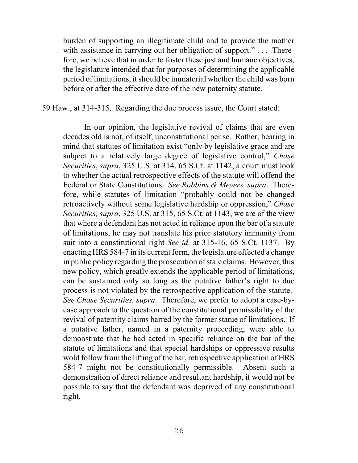burden of supporting an illegitimate child and to provide the mother with assistance in carrying out her obligation of support." . . . Therefore, we believe that in order to foster these just and humane objectives, the legislature intended that for purposes of determining the applicable period of limitations, itshould be immaterial whether the child was born before or after the effective date of the new paternity statute.

### 59 Haw., at 314-315. Regarding the due process issue, the Court stated:

In our opinion, the legislative revival of claims that are even decades old is not, of itself, unconstitutional per se. Rather, bearing in mind that statutes of limitation exist "only by legislative grace and are subject to a relatively large degree of legislative control," *Chase Securities*, *supra*, 325 U.S. at 314, 65 S.Ct. at 1142, a court must look to whether the actual retrospective effects of the statute will offend the Federal or State Constitutions. *See Robbins & Meyers, supra*. Therefore, while statutes of limitation "probably could not be changed retroactively without some legislative hardship or oppression," *Chase Securities, supra*, 325 U.S. at 315, 65 S.Ct. at 1143, we are of the view that where a defendant has not acted in reliance upon the bar of a statute of limitations, he may not translate his prior statutory immunity from suit into a constitutional right *See id.* at 315-16, 65 S.Ct. 1137. By enacting HRS 584-7 in its current form, the legislature effected a change in public policy regarding the prosecution ofstale claims. However, this new policy, which greatly extends the applicable period of limitations, can be sustained only so long as the putative father's right to due process is not violated by the retrospective application of the statute. *See Chase Securities, supra*. Therefore, we prefer to adopt a case-bycase approach to the question of the constitutional permissibility of the revival of paternity claims barred by the former statue of limitations. If a putative father, named in a paternity proceeding, were able to demonstrate that he had acted in specific reliance on the bar of the statute of limitations and that special hardships or oppressive results wold follow from the lifting of the bar, retrospective application of HRS 584-7 might not be constitutionally permissible. Absent such a demonstration of direct reliance and resultant hardship, it would not be possible to say that the defendant was deprived of any constitutional right.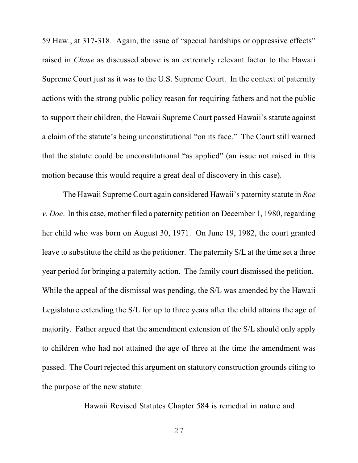59 Haw., at 317-318. Again, the issue of "special hardships or oppressive effects" raised in *Chase* as discussed above is an extremely relevant factor to the Hawaii Supreme Court just as it was to the U.S. Supreme Court. In the context of paternity actions with the strong public policy reason for requiring fathers and not the public to support their children, the Hawaii Supreme Court passed Hawaii's statute against a claim of the statute's being unconstitutional "on its face." The Court still warned that the statute could be unconstitutional "as applied" (an issue not raised in this motion because this would require a great deal of discovery in this case).

The Hawaii Supreme Court again considered Hawaii's paternity statute in *Roe v. Doe*. In this case, mother filed a paternity petition on December 1, 1980, regarding her child who was born on August 30, 1971. On June 19, 1982, the court granted leave to substitute the child as the petitioner. The paternity S/L at the time set a three year period for bringing a paternity action. The family court dismissed the petition. While the appeal of the dismissal was pending, the S/L was amended by the Hawaii Legislature extending the S/L for up to three years after the child attains the age of majority. Father argued that the amendment extension of the S/L should only apply to children who had not attained the age of three at the time the amendment was passed. The Court rejected this argument on statutory construction grounds citing to the purpose of the new statute:

Hawaii Revised Statutes Chapter 584 is remedial in nature and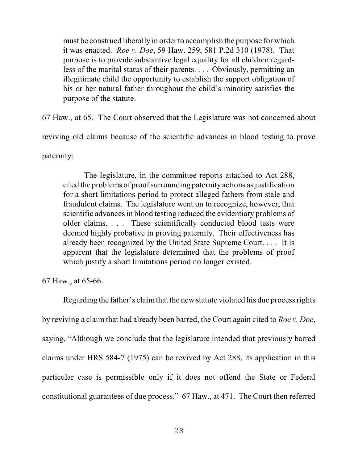must be construed liberally in order to accomplish the purpose for which it was enacted. *Roe v. Doe*, 59 Haw. 259, 581 P.2d 310 (1978). That purpose is to provide substantive legal equality for all children regardless of the marital status of their parents. . . . Obviously, permitting an illegitimate child the opportunity to establish the support obligation of his or her natural father throughout the child's minority satisfies the purpose of the statute.

67 Haw., at 65. The Court observed that the Legislature was not concerned about

reviving old claims because of the scientific advances in blood testing to prove

paternity:

The legislature, in the committee reports attached to Act 288, cited the problems of proof surrounding paternity actions as justification for a short limitations period to protect alleged fathers from stale and fraudulent claims. The legislature went on to recognize, however, that scientific advances in blood testing reduced the evidentiary problems of older claims. . . . These scientifically conducted blood tests were deemed highly probative in proving paternity. Their effectiveness has already been recognized by the United State Supreme Court. . . . It is apparent that the legislature determined that the problems of proof which justify a short limitations period no longer existed.

67 Haw., at 65-66.

Regarding the father's claimthat the new statute violated his due process rights by reviving a claim that had already been barred, the Court again cited to *Roe v. Doe*, saying, "Although we conclude that the legislature intended that previously barred claims under HRS 584-7 (1975) can be revived by Act 288, its application in this particular case is permissible only if it does not offend the State or Federal constitutional guarantees of due process." 67 Haw., at 471. The Court then referred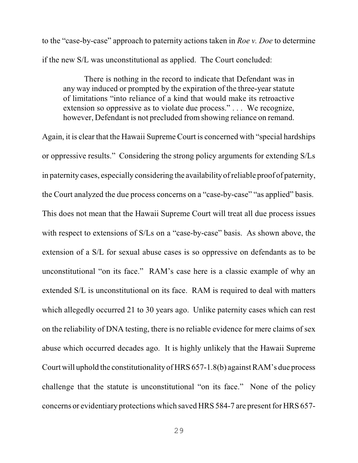to the "case-by-case" approach to paternity actions taken in *Roe v. Doe* to determine if the new S/L was unconstitutional as applied. The Court concluded:

There is nothing in the record to indicate that Defendant was in any way induced or prompted by the expiration of the three-year statute of limitations "into reliance of a kind that would make its retroactive extension so oppressive as to violate due process." . . . We recognize, however, Defendant is not precluded from showing reliance on remand.

Again, it is clear that the Hawaii Supreme Court is concerned with "special hardships or oppressive results." Considering the strong policy arguments for extending S/Ls in paternity cases, especially considering the availabilityofreliable proof of paternity, the Court analyzed the due process concerns on a "case-by-case" "as applied" basis. This does not mean that the Hawaii Supreme Court will treat all due process issues with respect to extensions of S/Ls on a "case-by-case" basis. As shown above, the extension of a S/L for sexual abuse cases is so oppressive on defendants as to be unconstitutional "on its face." RAM's case here is a classic example of why an extended S/L is unconstitutional on its face. RAM is required to deal with matters which allegedly occurred 21 to 30 years ago. Unlike paternity cases which can rest on the reliability of DNA testing, there is no reliable evidence for mere claims of sex abuse which occurred decades ago. It is highly unlikely that the Hawaii Supreme Court will uphold the constitutionality of HRS 657-1.8(b) against RAM's due process challenge that the statute is unconstitutional "on its face." None of the policy concerns or evidentiary protections which saved HRS 584-7 are present for HRS 657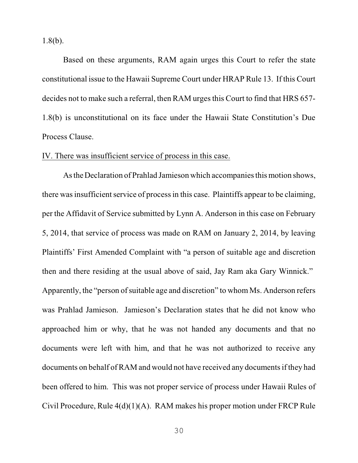1.8(b).

Based on these arguments, RAM again urges this Court to refer the state constitutional issue to the Hawaii Supreme Court under HRAP Rule 13. If this Court decides not to make such a referral, then RAM urges this Court to find that HRS 657- 1.8(b) is unconstitutional on its face under the Hawaii State Constitution's Due Process Clause.

#### IV. There was insufficient service of process in this case.

As theDeclaration of Prahlad Jamieson which accompaniesthis motion shows, there was insufficient service of process in this case. Plaintiffs appear to be claiming, per the Affidavit of Service submitted by Lynn A. Anderson in this case on February 5, 2014, that service of process was made on RAM on January 2, 2014, by leaving Plaintiffs' First Amended Complaint with "a person of suitable age and discretion then and there residing at the usual above of said, Jay Ram aka Gary Winnick." Apparently, the "person of suitable age and discretion" to whom Ms. Anderson refers was Prahlad Jamieson. Jamieson's Declaration states that he did not know who approached him or why, that he was not handed any documents and that no documents were left with him, and that he was not authorized to receive any documents on behalf of RAM and would not have received any documents if they had been offered to him. This was not proper service of process under Hawaii Rules of Civil Procedure, Rule 4(d)(1)(A). RAM makes his proper motion under FRCP Rule